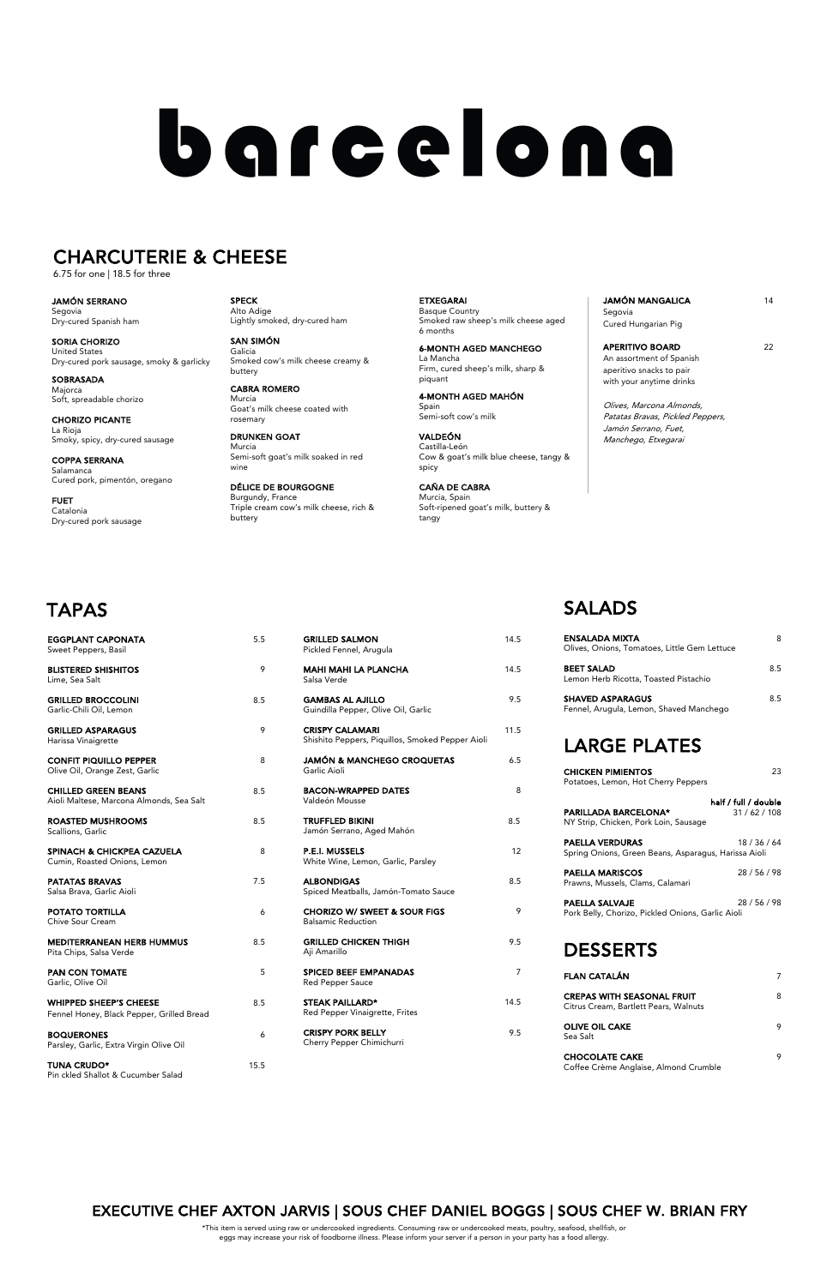| <b>GRILLED SALMON</b><br>Pickled Fennel, Arugula                           | 14.5 |
|----------------------------------------------------------------------------|------|
| <b>MAHI MAHI LA PLANCHA</b><br>Salsa Verde                                 | 14.5 |
| <b>GAMBAS AL AJILLO</b><br>Guindilla Pepper, Olive Oil, Garlic             | 9.5  |
| <b>CRISPY CALAMARI</b><br>Shishito Peppers, Piquillos, Smoked Pepper Aioli | 11.5 |
| JAMÓN & MANCHEGO CROQUETAS<br>Garlic Aioli                                 | 6.5  |
| <b>BACON-WRAPPED DATES</b><br>Valdeón Mousse                               | 8    |
| <b>TRUFFLED BIKINI</b><br>Jamón Serrano, Aged Mahón                        | 8.5  |
| <b>P.E.I. MUSSELS</b><br>White Wine, Lemon, Garlic, Parsley                | 12   |
| <b>ALBONDIGAS</b><br>Spiced Meatballs, Jamón-Tomato Sauce                  | 8.5  |
| <b>CHORIZO W/ SWEET &amp; SOUR FIGS</b><br><b>Balsamic Reduction</b>       | 9    |
| <b>GRILLED CHICKEN THIGH</b>                                               | 9.5  |

SPICED BEEF EMPANADAS 7 Red Pepper Sauce

STEAK PAILLARD\* 14.5 Red Pepper Vinaigrette, Frites

CRISPY PORK BELLY 9.5 Cherry Pepper Chimichurri

Aji Amarillo

PAN CON TOMATE 5 Garlic, Olive Oil WHIPPED SHEEP'S CHEESE 8.5 Fennel Honey, Black Pepper, Grilled Bread BOQUERONES 6 Parsley, Garlic, Extra Virgin Olive Oil

TUNA CRUDO\* 15.5 Pin ckled Shallot & Cucumber Salad

**JAMÓN MANGALICA** 14 Segovia

APERITIVO BOARD 22 An assortment of Spanish aperitivo snacks to pair with your anytime drinks

| <b>LARGE PLATES</b>                                                   |     |
|-----------------------------------------------------------------------|-----|
| <b>SHAVED ASPARAGUS</b><br>Fennel, Arugula, Lemon, Shaved Manchego    | 8.5 |
| <b>BEET SALAD</b><br>Lemon Herb Ricotta, Toasted Pistachio            | 8.5 |
| <b>ENSALADA MIXTA</b><br>Olives, Onions, Tomatoes, Little Gem Lettuce |     |

| <b>CHICKEN PIMIENTOS</b><br>Potatoes, Lemon, Hot Cherry Peppers                | 23                                |
|--------------------------------------------------------------------------------|-----------------------------------|
| <b>PARILLADA BARCELONA*</b><br>NY Strip, Chicken, Pork Loin, Sausage           | half / full / double<br>31/62/108 |
| <b>PAELLA VERDURAS</b><br>Spring Onions, Green Beans, Asparagus, Harissa Aioli | 18 / 36 / 64                      |
| <b>PAELLA MARISCOS</b><br>Prawns, Mussels, Clams, Calamari                     | 28 / 56 / 98                      |
| PAELLA SALVAJE<br>Pork Belly, Chorizo, Pickled Onions, Garlic Aioli            | 28 / 56 / 98                      |

### DESSERTS

| <b>FLAN CATALÁN</b>                                                        |  |
|----------------------------------------------------------------------------|--|
| <b>CREPAS WITH SEASONAL FRUIT</b><br>Citrus Cream, Bartlett Pears, Walnuts |  |
| <b>OLIVE OIL CAKE</b><br>Sea Salt                                          |  |
| <b>CHOCOLATE CAKE</b>                                                      |  |

Coffee Crème Anglaise, Almond Crumble

SPECK Alto Adige Lightly smoked, dry-cured ham

| EGGPLANT CAPONATA<br>Sweet Peppers, Basil                              | 5.5 |
|------------------------------------------------------------------------|-----|
| <b>BLISTERED SHISHITOS</b><br>Lime, Sea Salt                           | 9   |
| <b>GRILLED BROCCOLINI</b><br>Garlic-Chili Oil, Lemon                   | 8.5 |
| <b>GRILLED ASPARAGUS</b><br>Harissa Vinaigrette                        | 9   |
| <b>CONFIT PIQUILLO PEPPER</b><br>Olive Oil, Orange Zest, Garlic        | 8   |
| <b>CHILLED GREEN BEANS</b><br>Aioli Maltese, Marcona Almonds, Sea Salt | 8.5 |
| <b>ROASTED MUSHROOMS</b><br>Scallions, Garlic                          | 8.5 |
| SPINACH & CHICKPEA CAZUELA<br>Cumin, Roasted Onions, Lemon             | 8   |
| <b>PATATAS BRAVAS</b><br>Salsa Brava, Garlic Aioli                     | 7.5 |
| POTATO TORTILLA<br>Chive Sour Cream                                    | 6   |
| <b>MEDITERRANEAN HERB HUMMUS</b>                                       | 8.5 |

SAN SIMÓN Galicia Smoked cow's milk cheese creamy & buttery

CABRA ROMERO Murcia Goat's milk cheese coated with rosemary

DRUNKEN GOAT Murcia Semi-soft goat's milk soaked in red wine

DÉLICE DE BOURGOGNE Burgundy, France Triple cream cow's milk cheese, rich & buttery

ETXEGARAI Basque Country Smoked raw sheep's milk cheese aged 6 months

6-MONTH AGED MANCHEGO La Mancha Firm, cured sheep's milk, sharp & piquant

4-MONTH AGED MAHÓN Spain Semi-soft cow's milk

VALDEÓN Castilla-León Cow & goat's milk blue cheese, tangy & spicy

CAÑA DE CABRA Murcia, Spain Soft-ripened goat's milk, buttery & tangy

Cured Hungarian Pig

## EXECUTIVE CHEF AXTON JARVIS | SOUS CHEF DANIEL BOGGS | SOUS CHEF W. BRIAN FRY

Olives, Marcona Almonds, Patatas Bravas, Pickled Peppers, Jamón Serrano, Fuet, Manchego, Etxegarai

JAMÓN SERRANO Segovia Dry-cured Spanish ham

SORIA CHORIZO United States Dry-cured pork sausage, smoky & garlicky

SOBRASADA Majorca Soft, spreadable chorizo

CHORIZO PICANTE La Rioja Smoky, spicy, dry-cured sausage

COPPA SERRANA Salamanca Cured pork, pimentón, oregano

FUET Catalonia Dry-cured pork sausage

# barcelona

## CHARCUTERIE & CHEESE

6.75 for one | 18.5 for three

\*This item is served using raw or undercooked ingredients. Consuming raw or undercooked meats, poultry, seafood, shellfish, or eggs may increase your risk of foodborne illness. Please inform your server if a person in your party has a food allergy.

## TAPAS

## SALADS